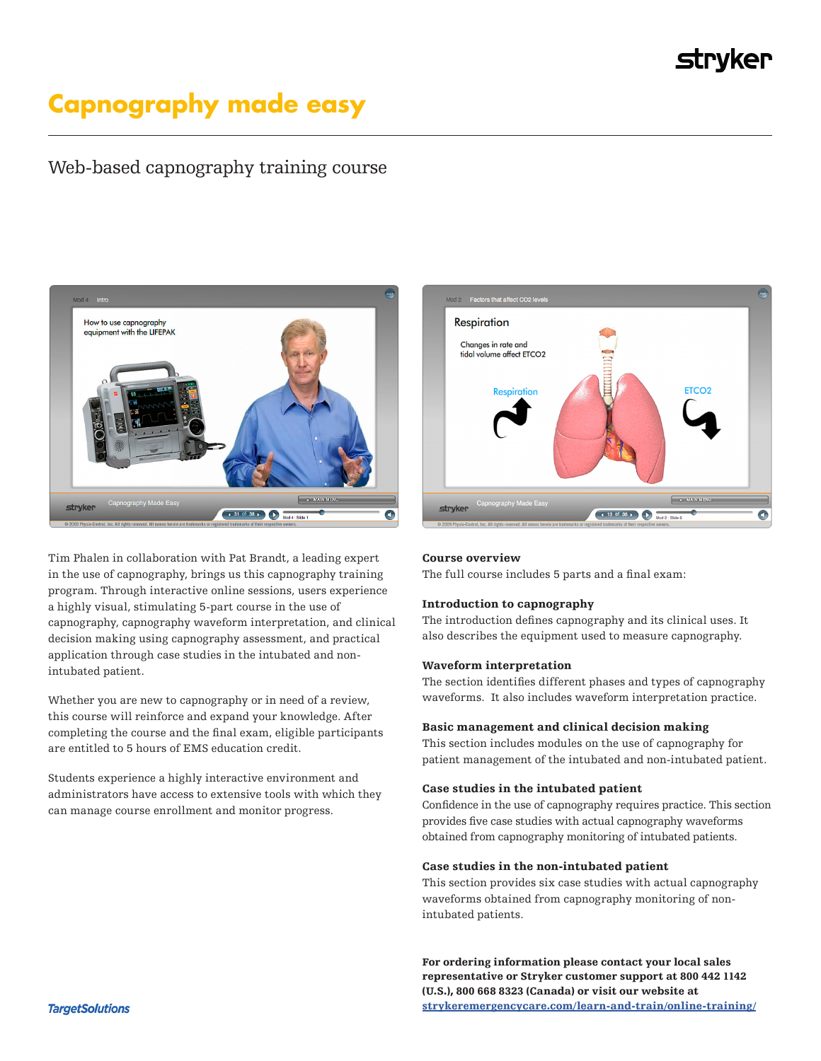## **strvker**

# **Capnography made easy**

### Web-based capnography training course



Tim Phalen in collaboration with Pat Brandt, a leading expert in the use of capnography, brings us this capnography training program. Through interactive online sessions, users experience a highly visual, stimulating 5-part course in the use of capnography, capnography waveform interpretation, and clinical decision making using capnography assessment, and practical application through case studies in the intubated and nonintubated patient.

Whether you are new to capnography or in need of a review, this course will reinforce and expand your knowledge. After completing the course and the final exam, eligible participants are entitled to 5 hours of EMS education credit.

Students experience a highly interactive environment and administrators have access to extensive tools with which they can manage course enrollment and monitor progress.



#### Course overview

The full course includes 5 parts and a final exam:

#### Introduction to capnography

The introduction defines capnography and its clinical uses. It also describes the equipment used to measure capnography.

#### Waveform interpretation

The section identifies different phases and types of capnography waveforms. It also includes waveform interpretation practice.

#### Basic management and clinical decision making

This section includes modules on the use of capnography for patient management of the intubated and non-intubated patient.

#### Case studies in the intubated patient

Confidence in the use of capnography requires practice. This section provides five case studies with actual capnography waveforms obtained from capnography monitoring of intubated patients.

#### Case studies in the non-intubated patient

This section provides six case studies with actual capnography waveforms obtained from capnography monitoring of nonintubated patients.

For ordering information please contact your local sales representative or Stryker customer support at 800 442 1142 (U.S.), 800 668 8323 (Canada) or visit our website at [strykeremergencycare.com/learn-and-train/online-training/](http://strykeremergencycare.com/learn-and-train/online-training/)